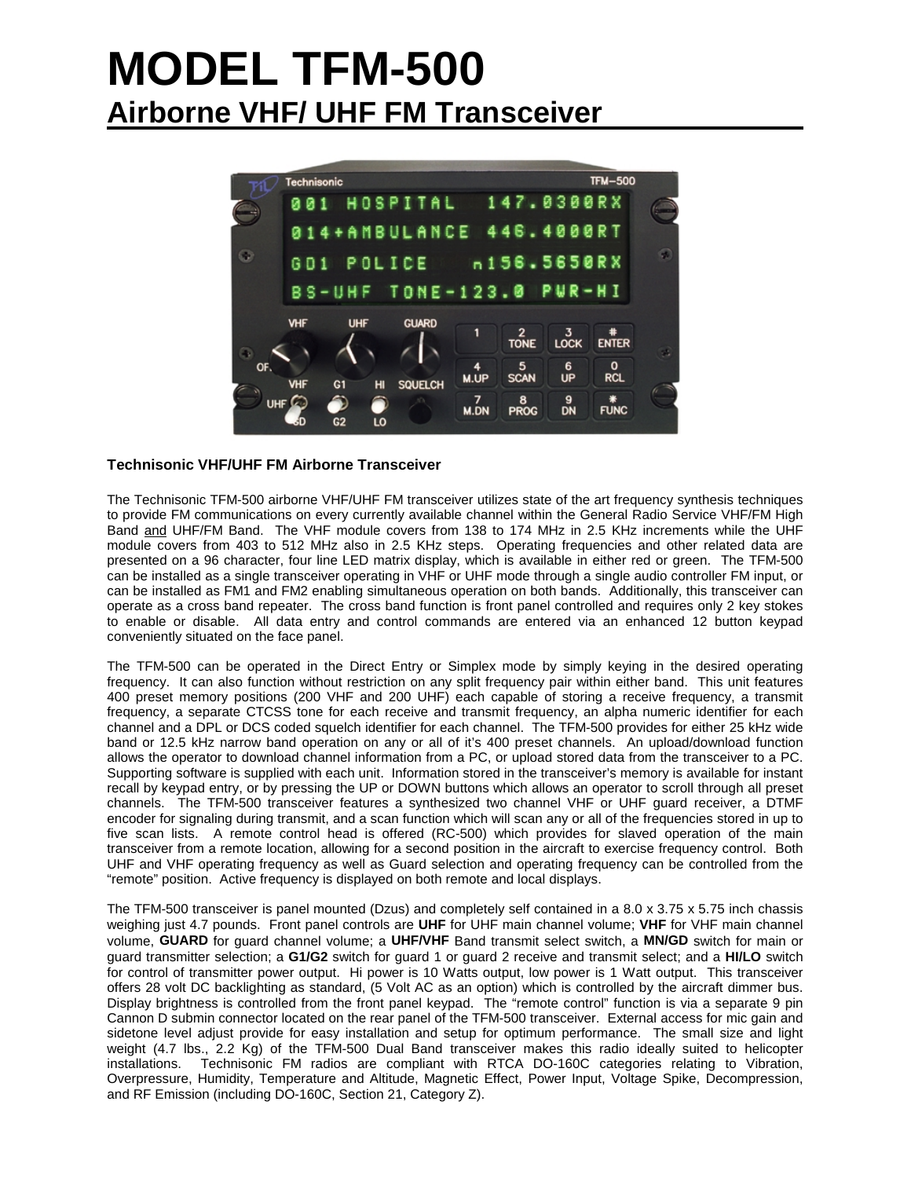# **MODEL TFM-500 Airborne VHF/ UHF FM Transceiver**



## **Technisonic VHF/UHF FM Airborne Transceiver**

The Technisonic TFM-500 airborne VHF/UHF FM transceiver utilizes state of the art frequency synthesis techniques to provide FM communications on every currently available channel within the General Radio Service VHF/FM High Band and UHF/FM Band. The VHF module covers from 138 to 174 MHz in 2.5 KHz increments while the UHF module covers from 403 to 512 MHz also in 2.5 KHz steps. Operating frequencies and other related data are presented on a 96 character, four line LED matrix display, which is available in either red or green. The TFM-500 can be installed as a single transceiver operating in VHF or UHF mode through a single audio controller FM input, or can be installed as FM1 and FM2 enabling simultaneous operation on both bands. Additionally, this transceiver can operate as a cross band repeater. The cross band function is front panel controlled and requires only 2 key stokes to enable or disable. All data entry and control commands are entered via an enhanced 12 button keypad conveniently situated on the face panel.

The TFM-500 can be operated in the Direct Entry or Simplex mode by simply keying in the desired operating frequency. It can also function without restriction on any split frequency pair within either band. This unit features 400 preset memory positions (200 VHF and 200 UHF) each capable of storing a receive frequency, a transmit frequency, a separate CTCSS tone for each receive and transmit frequency, an alpha numeric identifier for each channel and a DPL or DCS coded squelch identifier for each channel. The TFM-500 provides for either 25 kHz wide band or 12.5 kHz narrow band operation on any or all of it's 400 preset channels. An upload/download function allows the operator to download channel information from a PC, or upload stored data from the transceiver to a PC. Supporting software is supplied with each unit. Information stored in the transceiver's memory is available for instant recall by keypad entry, or by pressing the UP or DOWN buttons which allows an operator to scroll through all preset channels. The TFM-500 transceiver features a synthesized two channel VHF or UHF guard receiver, a DTMF encoder for signaling during transmit, and a scan function which will scan any or all of the frequencies stored in up to five scan lists. A remote control head is offered (RC-500) which provides for slaved operation of the main transceiver from a remote location, allowing for a second position in the aircraft to exercise frequency control. Both UHF and VHF operating frequency as well as Guard selection and operating frequency can be controlled from the "remote" position. Active frequency is displayed on both remote and local displays.

The TFM-500 transceiver is panel mounted (Dzus) and completely self contained in a 8.0 x 3.75 x 5.75 inch chassis weighing just 4.7 pounds. Front panel controls are **UHF** for UHF main channel volume; **VHF** for VHF main channel volume, **GUARD** for guard channel volume; a **UHF/VHF** Band transmit select switch, a **MN/GD** switch for main or guard transmitter selection; a **G1/G2** switch for guard 1 or guard 2 receive and transmit select; and a **HI/LO** switch for control of transmitter power output. Hi power is 10 Watts output, low power is 1 Watt output. This transceiver offers 28 volt DC backlighting as standard, (5 Volt AC as an option) which is controlled by the aircraft dimmer bus. Display brightness is controlled from the front panel keypad. The "remote control" function is via a separate 9 pin Cannon D submin connector located on the rear panel of the TFM-500 transceiver. External access for mic gain and sidetone level adjust provide for easy installation and setup for optimum performance. The small size and light weight (4.7 lbs., 2.2 Kg) of the TFM-500 Dual Band transceiver makes this radio ideally suited to helicopter installations. Technisonic FM radios are compliant with RTCA DO-160C categories relating to Vibration, Overpressure, Humidity, Temperature and Altitude, Magnetic Effect, Power Input, Voltage Spike, Decompression, and RF Emission (including DO-160C, Section 21, Category Z).